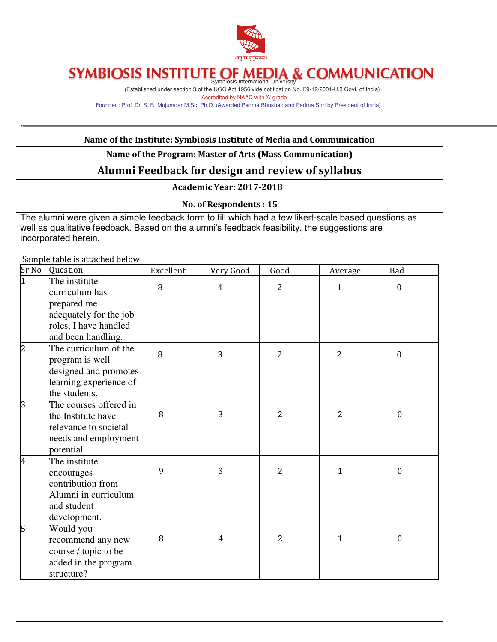

(Established under section 3 of the UGC Act 1956 vide notification No. F9-12/2001-U.3 Govt. of India) Accredited by NAAC with 'A' grade

Founder : Prof. Dr. S. B. Mujumdar M.Sc. Ph.D. (Awarded Padma Bhushan and Padma Shri by President of India)

#### Name of the Institute: Symbiosis Institute of Media and Communication Name of the Program: Master of Arts (Mass Communication) Alumni Feedback for design and review of syllabus Academic Year: 2017-2018 No. of Respondents : 15 The alumni were given a simple feedback form to fill which had a few likert-scale based questions as well as qualitative feedback. Based on the alumni's feedback feasibility, the suggestions are incorporated herein. Sample table is attached below Sr No Question Excellent Very Good Good Average Bad The institute curriculum has prepared me adequately for the job roles, I have handled and been handling. 8 | 4 | 2 | 1 | 0 2 The curriculum of the program is well designed and promotes learning experience of the students. 8 3 2 2 0 3 The courses offered in the Institute have relevance to societal needs and employment potential. 8 3 2 2 0 4 The institute encourages contribution from Alumni in curriculum and student development. 9 | 3 | 2 | 1 | 0 5 Would you recommend any new course / topic to be added in the program structure? 8 | 4 | 2 | 1 | 0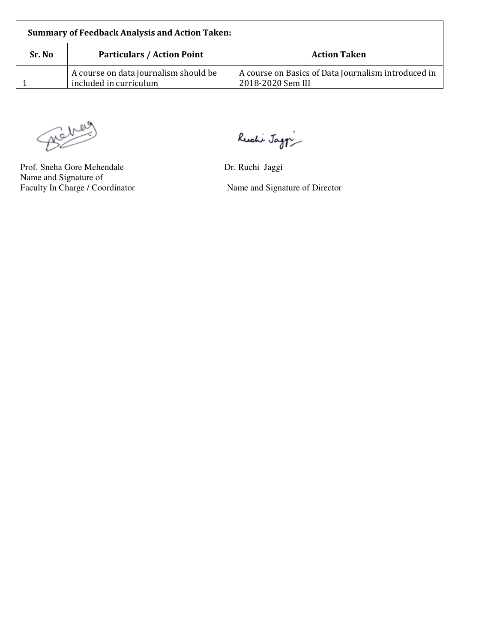| <b>Summary of Feedback Analysis and Action Taken:</b> |                                                                 |                                                                          |  |
|-------------------------------------------------------|-----------------------------------------------------------------|--------------------------------------------------------------------------|--|
| Sr. No.                                               | <b>Particulars / Action Point</b>                               | <b>Action Taken</b>                                                      |  |
|                                                       | A course on data journalism should be<br>included in curriculum | A course on Basics of Data Journalism introduced in<br>2018-2020 Sem III |  |

Behove

Prof. Sneha Gore Mehendale Dr. Ruchi Jaggi Name and Signature of<br>Faculty In Charge / Coordinator

Ruchi Jag $\gamma$ 

Name and Signature of Director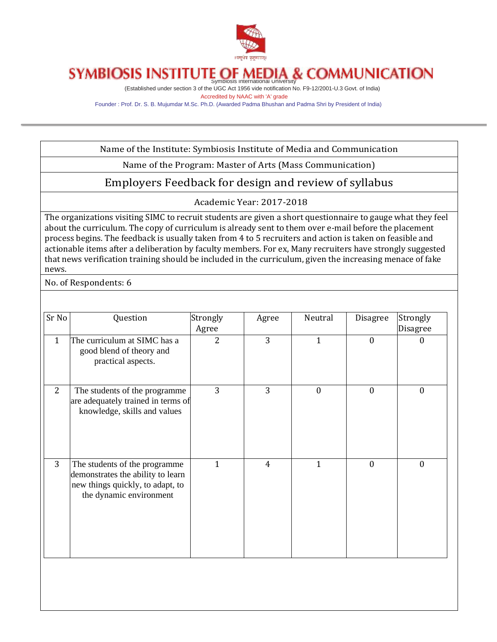

(Established under section 3 of the UGC Act 1956 vide notification No. F9-12/2001-U.3 Govt. of India) Accredited by NAAC with 'A' grade

Founder : Prof. Dr. S. B. Mujumdar M.Sc. Ph.D. (Awarded Padma Bhushan and Padma Shri by President of India)

Name of the Institute: Symbiosis Institute of Media and Communication

Name of the Program: Master of Arts (Mass Communication)

### Employers Feedback for design and review of syllabus

Academic Year: 2017-2018

The organizations visiting SIMC to recruit students are given a short questionnaire to gauge what they feel about the curriculum. The copy of curriculum is already sent to them over e-mail before the placement process begins. The feedback is usually taken from 4 to 5 recruiters and action is taken on feasible and actionable items after a deliberation by faculty members. For ex, Many recruiters have strongly suggested that news verification training should be included in the curriculum, given the increasing menace of fake news.

No. of Respondents: 6

| Sr No        | Question                                                                                                                          | Strongly<br>Agree | Agree          | Neutral      | Disagree         | Strongly<br>Disagree |
|--------------|-----------------------------------------------------------------------------------------------------------------------------------|-------------------|----------------|--------------|------------------|----------------------|
| $\mathbf{1}$ | The curriculum at SIMC has a<br>good blend of theory and<br>practical aspects.                                                    | $\overline{2}$    | 3              | 1            | $\boldsymbol{0}$ | $\theta$             |
| 2            | The students of the programme<br>are adequately trained in terms of<br>knowledge, skills and values                               | 3                 | 3              | $\mathbf{0}$ | $\mathbf{0}$     | $\mathbf{0}$         |
| 3            | The students of the programme<br>demonstrates the ability to learn<br>new things quickly, to adapt, to<br>the dynamic environment | 1                 | $\overline{4}$ | 1            | $\mathbf{0}$     | $\mathbf{0}$         |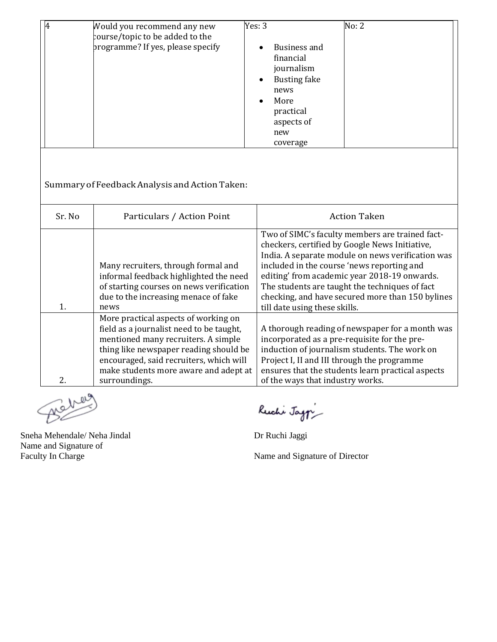| 14 | Would you recommend any new<br>course/topic to be added to the<br>programme? If yes, please specify | Yes: $3$<br>Business and<br>financial<br>journalism<br><b>Busting fake</b><br>$\bullet$<br>news<br>More<br>practical<br>aspects of<br>new | No: 2 |
|----|-----------------------------------------------------------------------------------------------------|-------------------------------------------------------------------------------------------------------------------------------------------|-------|
|    |                                                                                                     | coverage                                                                                                                                  |       |

Summary ofFeedbackAnalysis andActionTaken:

| Sr. No | Particulars / Action Point                                                                                                                                                                                                                                             | <b>Action Taken</b>                                                                                                                                                                                                                                                                                                                                                                         |
|--------|------------------------------------------------------------------------------------------------------------------------------------------------------------------------------------------------------------------------------------------------------------------------|---------------------------------------------------------------------------------------------------------------------------------------------------------------------------------------------------------------------------------------------------------------------------------------------------------------------------------------------------------------------------------------------|
| 1.     | Many recruiters, through formal and<br>informal feedback highlighted the need<br>of starting courses on news verification<br>due to the increasing menace of fake<br>news                                                                                              | Two of SIMC's faculty members are trained fact-<br>checkers, certified by Google News Initiative,<br>India. A separate module on news verification was<br>included in the course 'news reporting and<br>editing' from academic year 2018-19 onwards.<br>The students are taught the techniques of fact<br>checking, and have secured more than 150 bylines<br>till date using these skills. |
| 2.     | More practical aspects of working on<br>field as a journalist need to be taught,<br>mentioned many recruiters. A simple<br>thing like newspaper reading should be<br>encouraged, said recruiters, which will<br>make students more aware and adept at<br>surroundings. | A thorough reading of newspaper for a month was<br>incorporated as a pre-requisite for the pre-<br>induction of journalism students. The work on<br>Project I, II and III through the programme<br>ensures that the students learn practical aspects<br>of the ways that industry works.                                                                                                    |

Beh

Sneha Mehendale/ Neha Jindal Dr Ruchi Jaggi Name and Signature of

Ruchi Jag $\gamma$ 

Name and Signature of Director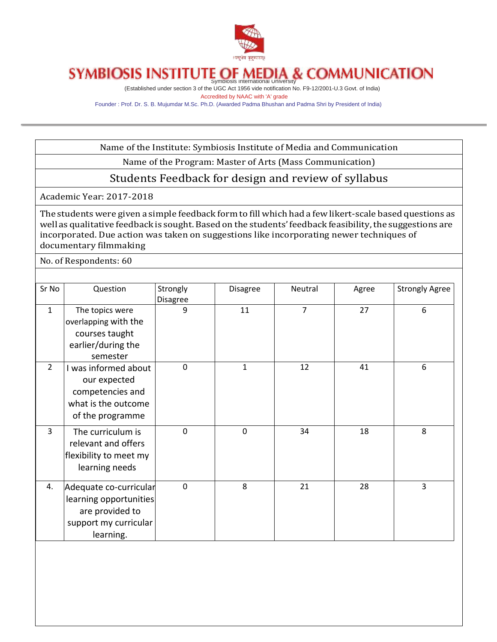

(Established under section 3 of the UGC Act 1956 vide notification No. F9-12/2001-U.3 Govt. of India) Accredited by NAAC with 'A' grade

Founder : Prof. Dr. S. B. Mujumdar M.Sc. Ph.D. (Awarded Padma Bhushan and Padma Shri by President of India)

Name of the Institute: Symbiosis Institute of Media and Communication

Name of the Program: Master of Arts (Mass Communication)

### Students Feedback for design and review of syllabus

Academic Year: 2017-2018

The students were given a simple feedback form to fill which had a few likert-scale based questions as well as qualitative feedback is sought. Based on the students' feedback feasibility, the suggestions are incorporated. Due action was taken on suggestions like incorporating newer techniques of documentary filmmaking

No. of Respondents: 60

| Sr No          | Question                                                                                                  | Strongly<br><b>Disagree</b> | <b>Disagree</b> | Neutral        | Agree | <b>Strongly Agree</b> |
|----------------|-----------------------------------------------------------------------------------------------------------|-----------------------------|-----------------|----------------|-------|-----------------------|
| $\mathbf{1}$   | The topics were<br>overlapping with the<br>courses taught<br>earlier/during the<br>semester               | 9                           | 11              | $\overline{7}$ | 27    | 6                     |
| $\overline{2}$ | I was informed about<br>our expected<br>competencies and<br>what is the outcome<br>of the programme       | $\mathbf 0$                 | $\mathbf{1}$    | 12             | 41    | 6                     |
| 3              | The curriculum is<br>relevant and offers<br>flexibility to meet my<br>learning needs                      | 0                           | 0               | 34             | 18    | 8                     |
| 4.             | Adequate co-curricular<br>learning opportunities<br>are provided to<br>support my curricular<br>learning. | $\mathbf 0$                 | 8               | 21             | 28    | $\overline{3}$        |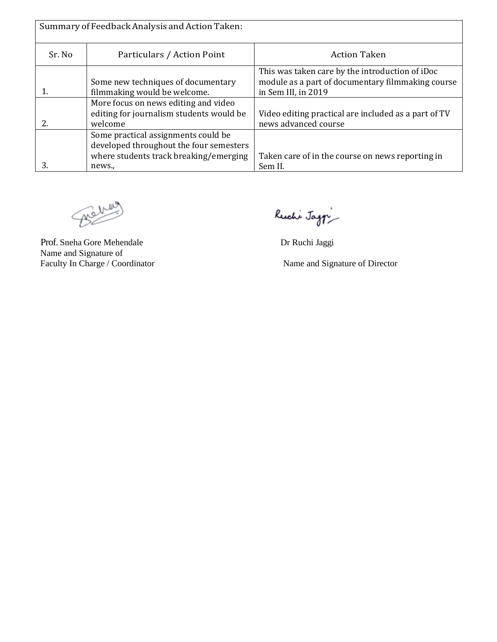| Summary of Feedback Analysis and Action Taken: |                                          |                                                      |  |  |
|------------------------------------------------|------------------------------------------|------------------------------------------------------|--|--|
| Sr. No                                         | Particulars / Action Point               | <b>Action Taken</b>                                  |  |  |
|                                                |                                          | This was taken care by the introduction of iDoc      |  |  |
|                                                | Some new techniques of documentary       | module as a part of documentary filmmaking course    |  |  |
|                                                | filmmaking would be welcome.             | in Sem III, in 2019                                  |  |  |
|                                                | More focus on news editing and video     |                                                      |  |  |
|                                                | editing for journalism students would be | Video editing practical are included as a part of TV |  |  |
|                                                | welcome                                  | news advanced course                                 |  |  |
|                                                | Some practical assignments could be      |                                                      |  |  |
|                                                | developed throughout the four semesters  |                                                      |  |  |
|                                                | where students track breaking/emerging   | Taken care of in the course on news reporting in     |  |  |
| З.                                             | news.,                                   | Sem II.                                              |  |  |

Behey

Prof. Sneha Gore Mehendale Dr Ruchi Jaggi Name and Signature of<br>Faculty In Charge / Coordinator

Ruchi Jag $\gamma$ 

Name and Signature of Director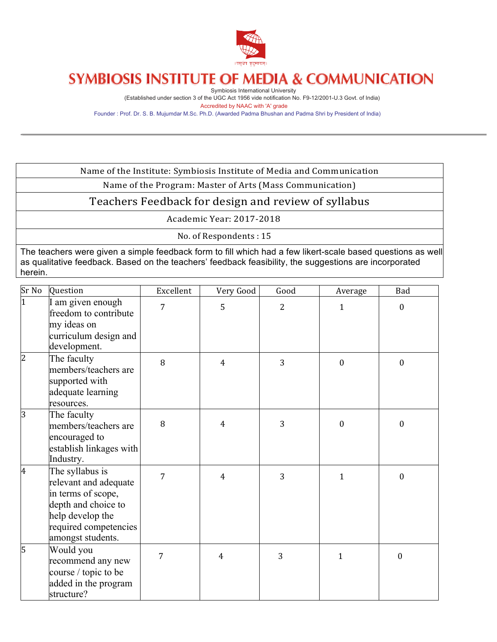

Symbiosis International University (Established under section 3 of the UGC Act 1956 vide notification No. F9-12/2001-U.3 Govt. of India) Accredited by NAAC with 'A' grade

Founder : Prof. Dr. S. B. Mujumdar M.Sc. Ph.D. (Awarded Padma Bhushan and Padma Shri by President of India)

Name of the Institute: Symbiosis Institute of Media and Communication

Name of the Program: Master of Arts (Mass Communication)

### Teachers Feedback for design and review of syllabus

Academic Year: 2017-2018

No. of Respondents: 15

The teachers were given a simple feedback form to fill which had a few likert-scale based questions as well as qualitative feedback. Based on the teachers' feedback feasibility, the suggestions are incorporated herein.

| Sr No          | Question                                                                                                                                                | Excellent | Very Good      | Good           | Average      | Bad              |
|----------------|---------------------------------------------------------------------------------------------------------------------------------------------------------|-----------|----------------|----------------|--------------|------------------|
| $\overline{1}$ | I am given enough<br>freedom to contribute<br>my ideas on<br>curriculum design and<br>development.                                                      | 7         | 5              | $\overline{2}$ | $\mathbf{1}$ | $\boldsymbol{0}$ |
| $\overline{c}$ | The faculty<br>members/teachers are<br>supported with<br>adequate learning<br>resources.                                                                | 8         | $\overline{4}$ | 3              | $\mathbf{0}$ | $\boldsymbol{0}$ |
| 3              | The faculty<br>members/teachers are<br>encouraged to<br>establish linkages with<br>Industry.                                                            | 8         | $\overline{4}$ | 3              | $\mathbf{0}$ | $\mathbf{0}$     |
| 4              | The syllabus is<br>relevant and adequate<br>in terms of scope,<br>depth and choice to<br>help develop the<br>required competencies<br>amongst students. | 7         | $\overline{4}$ | 3              | $\mathbf{1}$ | $\boldsymbol{0}$ |
| 5              | Would you<br>recommend any new<br>course / topic to be<br>added in the program<br>structure?                                                            | 7         | $\overline{4}$ | 3              | 1            | $\mathbf{0}$     |